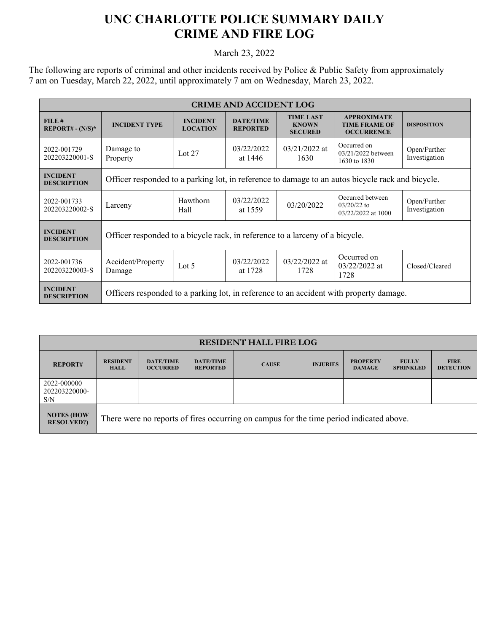## **UNC CHARLOTTE POLICE SUMMARY DAILY CRIME AND FIRE LOG**

March 23, 2022

The following are reports of criminal and other incidents received by Police & Public Safety from approximately 7 am on Tuesday, March 22, 2022, until approximately 7 am on Wednesday, March 23, 2022.

| <b>CRIME AND ACCIDENT LOG</b>                  |                                                                                                  |                                    |                                     |                                                    |                                                                 |                               |  |  |
|------------------------------------------------|--------------------------------------------------------------------------------------------------|------------------------------------|-------------------------------------|----------------------------------------------------|-----------------------------------------------------------------|-------------------------------|--|--|
| FILE#<br><b>REPORT# - <math>(N/S)^*</math></b> | <b>INCIDENT TYPE</b>                                                                             | <b>INCIDENT</b><br><b>LOCATION</b> | <b>DATE/TIME</b><br><b>REPORTED</b> | <b>TIME LAST</b><br><b>KNOWN</b><br><b>SECURED</b> | <b>APPROXIMATE</b><br><b>TIME FRAME OF</b><br><b>OCCURRENCE</b> | <b>DISPOSITION</b>            |  |  |
| 2022-001729<br>202203220001-S                  | Damage to<br>Property                                                                            | Lot $27$                           | 03/22/2022<br>at 1446               | $03/21/2022$ at<br>1630                            | Occurred on<br>03/21/2022 between<br>1630 to 1830               | Open/Further<br>Investigation |  |  |
| <b>INCIDENT</b><br><b>DESCRIPTION</b>          | Officer responded to a parking lot, in reference to damage to an autos bicycle rack and bicycle. |                                    |                                     |                                                    |                                                                 |                               |  |  |
| 2022-001733<br>202203220002-S                  | Larceny                                                                                          | Hawthorn<br>Hall                   | 03/22/2022<br>at 1559               | 03/20/2022                                         | Occurred between<br>$03/20/22$ to<br>03/22/2022 at 1000         | Open/Further<br>Investigation |  |  |
| <b>INCIDENT</b><br><b>DESCRIPTION</b>          | Officer responded to a bicycle rack, in reference to a larceny of a bicycle.                     |                                    |                                     |                                                    |                                                                 |                               |  |  |
| 2022-001736<br>202203220003-S                  | Accident/Property<br>Damage                                                                      | Lot $5$                            | 03/22/2022<br>at 1728               | $03/22/2022$ at<br>1728                            | Occurred on<br>$03/22/2022$ at<br>1728                          | Closed/Cleared                |  |  |
| <b>INCIDENT</b><br><b>DESCRIPTION</b>          | Officers responded to a parking lot, in reference to an accident with property damage.           |                                    |                                     |                                                    |                                                                 |                               |  |  |

| <b>RESIDENT HALL FIRE LOG</b>           |                                                                                         |                                     |                                     |              |                 |                                  |                                  |                                 |
|-----------------------------------------|-----------------------------------------------------------------------------------------|-------------------------------------|-------------------------------------|--------------|-----------------|----------------------------------|----------------------------------|---------------------------------|
| <b>REPORT#</b>                          | <b>RESIDENT</b><br><b>HALL</b>                                                          | <b>DATE/TIME</b><br><b>OCCURRED</b> | <b>DATE/TIME</b><br><b>REPORTED</b> | <b>CAUSE</b> | <b>INJURIES</b> | <b>PROPERTY</b><br><b>DAMAGE</b> | <b>FULLY</b><br><b>SPRINKLED</b> | <b>FIRE</b><br><b>DETECTION</b> |
| 2022-000000<br>202203220000-<br>S/N     |                                                                                         |                                     |                                     |              |                 |                                  |                                  |                                 |
| <b>NOTES (HOW)</b><br><b>RESOLVED?)</b> | There were no reports of fires occurring on campus for the time period indicated above. |                                     |                                     |              |                 |                                  |                                  |                                 |